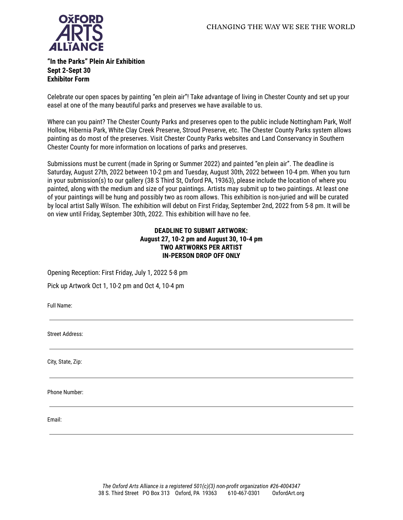

**"In the Parks" Plein Air Exhibition Sept 2-Sept 30 Exhibitor Form**

Celebrate our open spaces by painting "en plein air"! Take advantage of living in Chester County and set up your easel at one of the many beautiful parks and preserves we have available to us.

Where can you paint? The Chester County Parks and preserves open to the public include Nottingham Park, Wolf Hollow, Hibernia Park, White Clay Creek Preserve, Stroud Preserve, etc. The Chester County Parks system allows painting as do most of the preserves. Visit Chester County Parks websites and Land Conservancy in Southern Chester County for more information on locations of parks and preserves.

Submissions must be current (made in Spring or Summer 2022) and painted "en plein air". The deadline is Saturday, August 27th, 2022 between 10-2 pm and Tuesday, August 30th, 2022 between 10-4 pm. When you turn in your submission(s) to our gallery (38 S Third St, Oxford PA, 19363), please include the location of where you painted, along with the medium and size of your paintings. Artists may submit up to two paintings. At least one of your paintings will be hung and possibly two as room allows. This exhibition is non-juried and will be curated by local artist Sally Wilson. The exhibition will debut on First Friday, September 2nd, 2022 from 5-8 pm. It will be on view until Friday, September 30th, 2022. This exhibition will have no fee.

## **DEADLINE TO SUBMIT ARTWORK: August 27, 10-2 pm and August 30, 10-4 pm TWO ARTWORKS PER ARTIST IN-PERSON DROP OFF ONLY**

Opening Reception: First Friday, July 1, 2022 5-8 pm

Pick up Artwork Oct 1, 10-2 pm and Oct 4, 10-4 pm

Full Name:

Street Address:

City, State, Zip:

Phone Number:

Email: